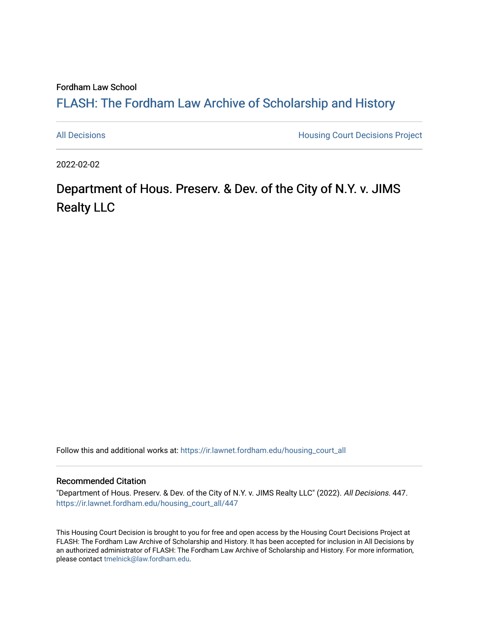Fordham Law School

### FLASH: The For[dham Law Archive of Scholarship and Hist](https://ir.lawnet.fordham.edu/)ory

[All Decisions](https://ir.lawnet.fordham.edu/housing_court_all) **All Decisions All Decisions** Project

2022-02-02

## Department of Hous. Preserv. & Dev. of the City of N.Y. v. JIMS Realty LLC

Follow this and additional works at: [https://ir.lawnet.fordham.edu/housing\\_court\\_all](https://ir.lawnet.fordham.edu/housing_court_all?utm_source=ir.lawnet.fordham.edu%2Fhousing_court_all%2F447&utm_medium=PDF&utm_campaign=PDFCoverPages)

#### Recommended Citation

"Department of Hous. Preserv. & Dev. of the City of N.Y. v. JIMS Realty LLC" (2022). All Decisions. 447. [https://ir.lawnet.fordham.edu/housing\\_court\\_all/447](https://ir.lawnet.fordham.edu/housing_court_all/447?utm_source=ir.lawnet.fordham.edu%2Fhousing_court_all%2F447&utm_medium=PDF&utm_campaign=PDFCoverPages)

This Housing Court Decision is brought to you for free and open access by the Housing Court Decisions Project at FLASH: The Fordham Law Archive of Scholarship and History. It has been accepted for inclusion in All Decisions by an authorized administrator of FLASH: The Fordham Law Archive of Scholarship and History. For more information, please contact [tmelnick@law.fordham.edu](mailto:tmelnick@law.fordham.edu).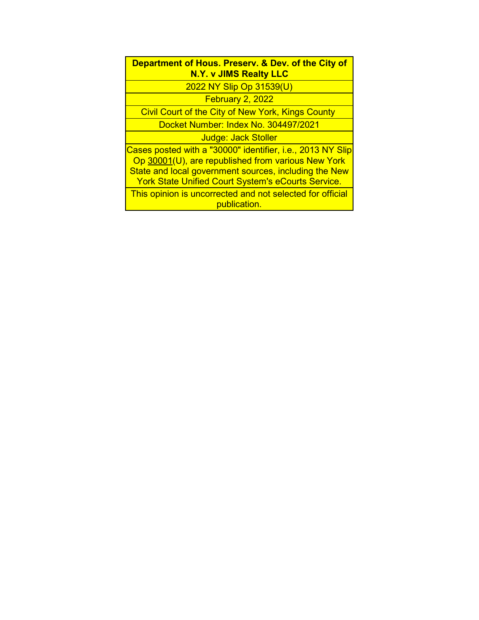| Department of Hous. Presery. & Dev. of the City of |
|----------------------------------------------------|
| N.Y. v JIMS Realty LLC                             |

2022 NY Slip Op 31539(U)

February 2, 2022

Civil Court of the City of New York, Kings County

Docket Number: Index No. 304497/2021

Judge: Jack Stoller

Cases posted with a "30000" identifier, i.e., 2013 NY Slip Op 30001(U), are republished from various New York State and local government sources, including the New York State Unified Court System's eCourts Service.

This opinion is uncorrected and not selected for official publication.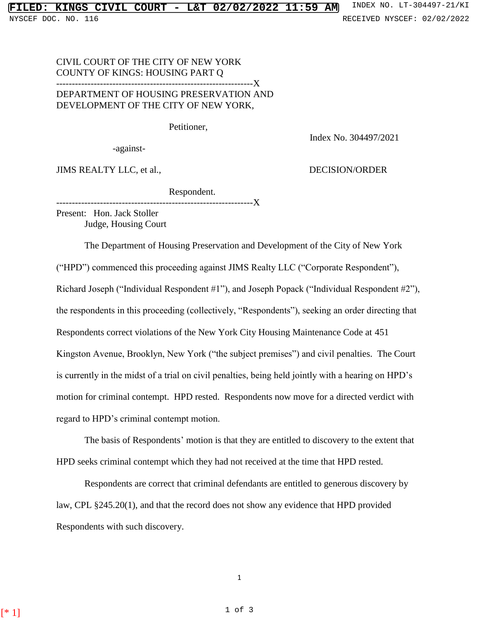# NYSCEF DOC. NO. 116 **RECEIVED NYSCEF: 02/02/2022**

#### CIVIL COURT OF THE CITY OF NEW YORK COUNTY OF KINGS: HOUSING PART Q ---------------------------------------------------------------X DEPARTMENT OF HOUSING PRESERVATION AND DEVELOPMENT OF THE CITY OF NEW YORK,

Petitioner,

Index No. 304497/2021

-against-

JIMS REALTY LLC, et al., DECISION/ORDER

Respondent.

-------------X

Present: Hon. Jack Stoller Judge, Housing Court

The Department of Housing Preservation and Development of the City of New York

("HPD") commenced this proceeding against JIMS Realty LLC ("Corporate Respondent"),

Richard Joseph ("Individual Respondent #1"), and Joseph Popack ("Individual Respondent #2"),

the respondents in this proceeding (collectively, "Respondents"), seeking an order directing that

Respondents correct violations of the New York City Housing Maintenance Code at 451

Kingston Avenue, Brooklyn, New York ("the subject premises") and civil penalties. The Court is currently in the midst of a trial on civil penalties, being held jointly with a hearing on HPD's

motion for criminal contempt. HPD rested. Respondents now move for a directed verdict with

regard to HPD's criminal contempt motion.

The basis of Respondents' motion is that they are entitled to discovery to the extent that HPD seeks criminal contempt which they had not received at the time that HPD rested.

Respondents are correct that criminal defendants are entitled to generous discovery by law, CPL §245.20(1), and that the record does not show any evidence that HPD provided Respondents with such discovery.

1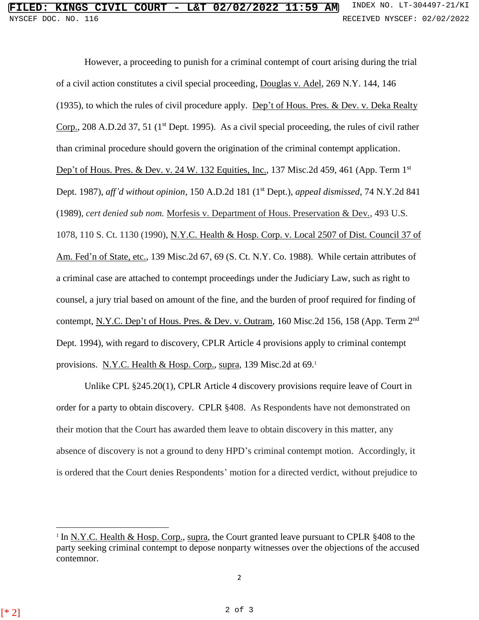However, a proceeding to punish for a criminal contempt of court arising during the trial of a civil action constitutes a civil special proceeding, Douglas v. Adel, 269 N.Y. 144, 146 (1935), to which the rules of civil procedure apply. Dep't of Hous. Pres. & Dev. v. Deka Realty Corp., 208 A.D.2d 37, 51 ( $1<sup>st</sup>$  Dept. 1995). As a civil special proceeding, the rules of civil rather than criminal procedure should govern the origination of the criminal contempt application. Dep't of Hous. Pres. & Dev. v. 24 W. 132 Equities, Inc., 137 Misc.2d 459, 461 (App. Term 1<sup>st</sup>) Dept. 1987), *aff'd without opinion*, 150 A.D.2d 181 (1 st Dept.), *appeal dismissed*, 74 N.Y.2d 841 (1989), *cert denied sub nom.* Morfesis v. Department of Hous. Preservation & Dev*.*, 493 U.S. 1078, 110 S. Ct. 1130 (1990), N.Y.C. Health & Hosp. Corp. v. Local 2507 of Dist. Council 37 of Am. Fed'n of State, etc., 139 Misc.2d 67, 69 (S. Ct. N.Y. Co. 1988). While certain attributes of a criminal case are attached to contempt proceedings under the Judiciary Law, such as right to counsel, a jury trial based on amount of the fine, and the burden of proof required for finding of contempt, N.Y.C. Dep't of Hous. Pres. & Dev. v. Outram, 160 Misc.2d 156, 158 (App. Term 2<sup>nd</sup>) Dept. 1994), with regard to discovery, CPLR Article 4 provisions apply to criminal contempt provisions. N.Y.C. Health & Hosp. Corp., supra, 139 Misc.2d at 69.

Unlike CPL §245.20(1), CPLR Article 4 discovery provisions require leave of Court in order for a party to obtain discovery. CPLR §408. As Respondents have not demonstrated on their motion that the Court has awarded them leave to obtain discovery in this matter, any absence of discovery is not a ground to deny HPD's criminal contempt motion. Accordingly, it is ordered that the Court denies Respondents' motion for a directed verdict, without prejudice to

 $\overline{a}$ 

<sup>&</sup>lt;sup>1</sup> In <u>N.Y.C. Health & Hosp. Corp.</u>, supra, the Court granted leave pursuant to CPLR  $§408$  to the party seeking criminal contempt to depose nonparty witnesses over the objections of the accused contemnor.